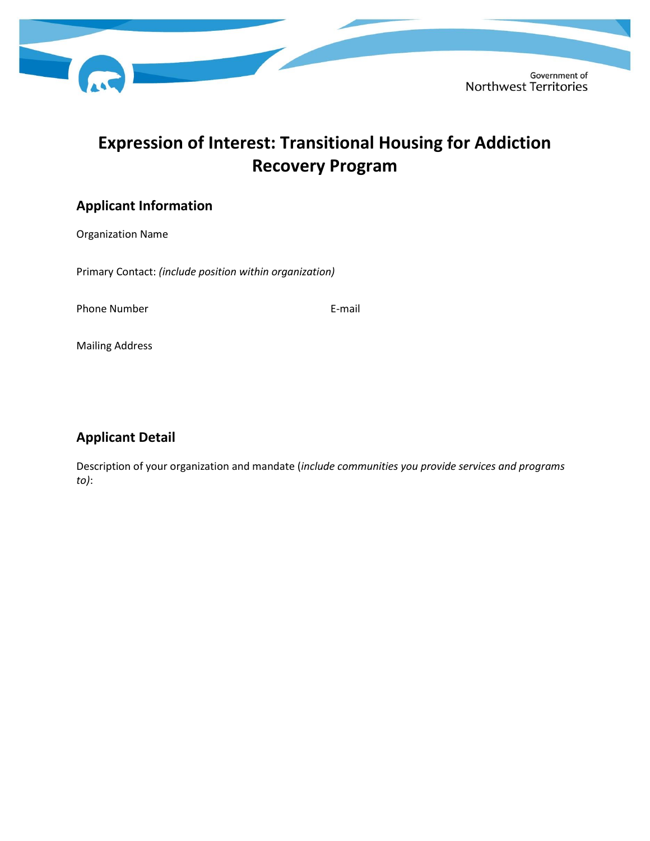

# **Expression of Interest: Transitional Housing for Addiction Recovery Program**

## **Applicant Information**

Organization Name

Primary Contact: *(include position within organization)*

Phone Number **E-mail** 

Mailing Address

### **Applicant Detail**

Description of your organization and mandate (*include communities you provide services and programs to)*: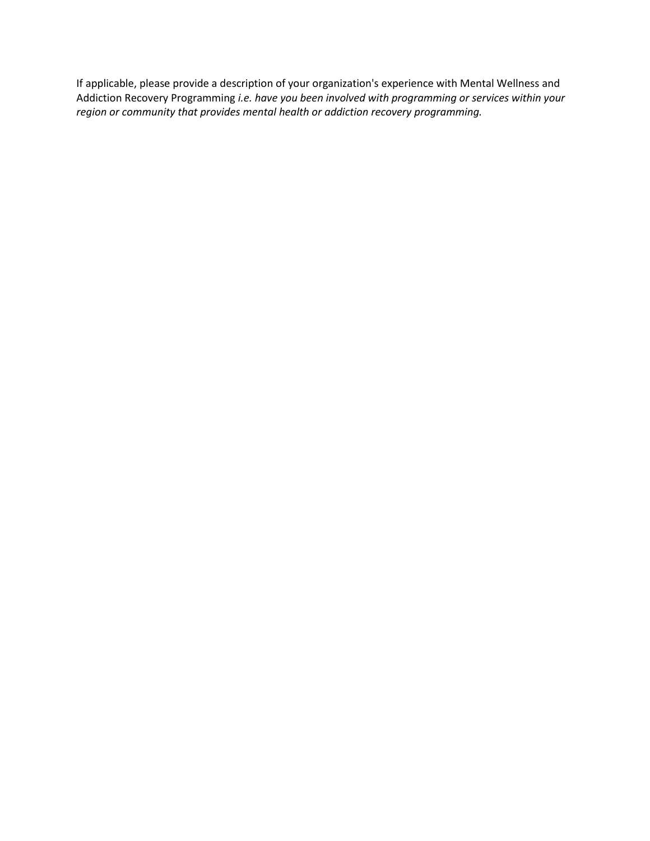If applicable, please provide a description of your organization's experience with Mental Wellness and Addiction Recovery Programming *i.e. have you been involved with programming or services within your region or community that provides mental health or addiction recovery programming.*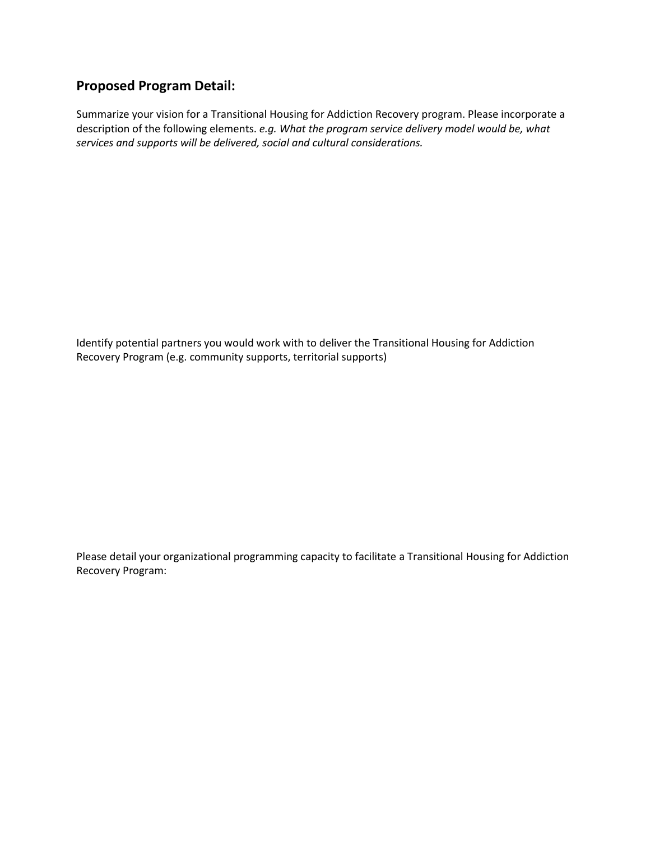### **Proposed Program Detail:**

Summarize your vision for a Transitional Housing for Addiction Recovery program. Please incorporate a description of the following elements. *e.g. What the program service delivery model would be, what services and supports will be delivered, social and cultural considerations.*

Identify potential partners you would work with to deliver the Transitional Housing for Addiction Recovery Program (e.g. community supports, territorial supports)

Please detail your organizational programming capacity to facilitate a Transitional Housing for Addiction Recovery Program: